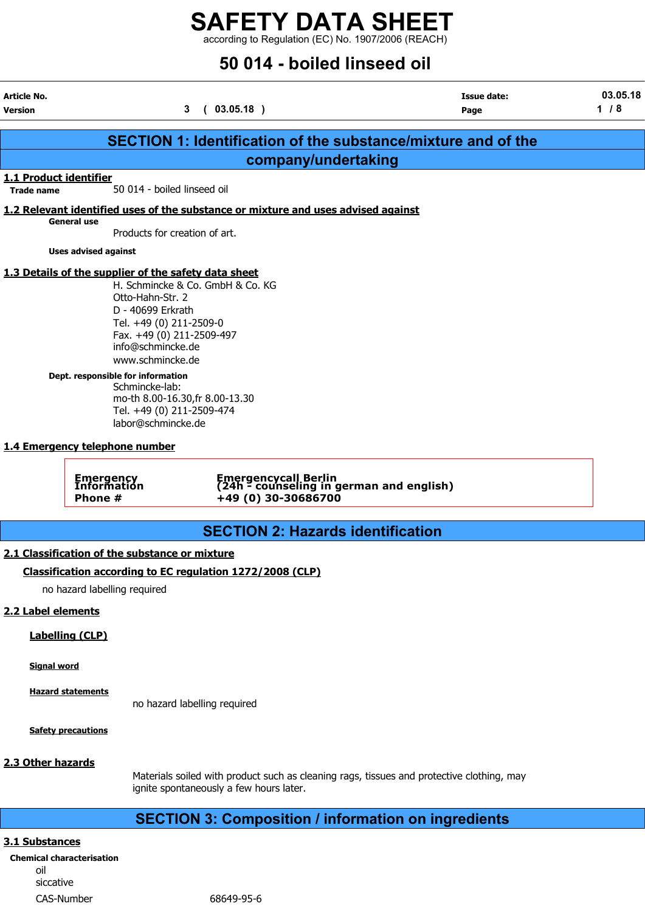according to Regulation (EC) No. 1907/2006 (REACH)

# 50 014 - boiled linseed oil

| Article No.<br><b>Version</b>               |                                                                                                                                                                                                                                                                                  | (03.05.18)<br>3                                                                                                               | <b>Issue date:</b><br>Page                                           | 03.05.18<br>1/8 |
|---------------------------------------------|----------------------------------------------------------------------------------------------------------------------------------------------------------------------------------------------------------------------------------------------------------------------------------|-------------------------------------------------------------------------------------------------------------------------------|----------------------------------------------------------------------|-----------------|
|                                             |                                                                                                                                                                                                                                                                                  |                                                                                                                               | <b>SECTION 1: Identification of the substance/mixture and of the</b> |                 |
|                                             |                                                                                                                                                                                                                                                                                  | company/undertaking                                                                                                           |                                                                      |                 |
| 1.1 Product identifier<br><b>Trade name</b> | 50 014 - boiled linseed oil                                                                                                                                                                                                                                                      |                                                                                                                               |                                                                      |                 |
|                                             |                                                                                                                                                                                                                                                                                  | 1.2 Relevant identified uses of the substance or mixture and uses advised against                                             |                                                                      |                 |
|                                             | <b>General use</b>                                                                                                                                                                                                                                                               | Products for creation of art.                                                                                                 |                                                                      |                 |
|                                             | <b>Uses advised against</b>                                                                                                                                                                                                                                                      |                                                                                                                               |                                                                      |                 |
|                                             | 1.3 Details of the supplier of the safety data sheet<br>Otto-Hahn-Str. 2<br>D - 40699 Erkrath<br>Tel. +49 (0) 211-2509-0<br>info@schmincke.de<br>www.schmincke.de<br>Dept. responsible for information<br>Schmincke-lab:<br>labor@schmincke.de<br>1.4 Emergency telephone number | H. Schmincke & Co. GmbH & Co. KG<br>Fax. +49 (0) 211-2509-497<br>mo-th 8.00-16.30, fr 8.00-13.30<br>Tel. +49 (0) 211-2509-474 |                                                                      |                 |
|                                             | <b>Emergency</b><br>Information<br>Phone #                                                                                                                                                                                                                                       | +49 (0) 30-30686700                                                                                                           | Emergencycall Berlin<br>(24h - counseling in german and english)     |                 |
|                                             |                                                                                                                                                                                                                                                                                  |                                                                                                                               |                                                                      |                 |
|                                             |                                                                                                                                                                                                                                                                                  | <b>SECTION 2: Hazards identification</b>                                                                                      |                                                                      |                 |
|                                             | 2.1 Classification of the substance or mixture                                                                                                                                                                                                                                   |                                                                                                                               |                                                                      |                 |
|                                             |                                                                                                                                                                                                                                                                                  | Classification according to EC regulation 1272/2008 (CLP)                                                                     |                                                                      |                 |
|                                             | no hazard labelling required                                                                                                                                                                                                                                                     |                                                                                                                               |                                                                      |                 |
| 2.2 Label elements                          | <b>Labelling (CLP)</b>                                                                                                                                                                                                                                                           |                                                                                                                               |                                                                      |                 |
| <b>Signal word</b>                          |                                                                                                                                                                                                                                                                                  |                                                                                                                               |                                                                      |                 |

Hazard statements no hazard labelling required

Safety precautions

# 2.3 Other hazards

Materials soiled with product such as cleaning rags, tissues and protective clothing, may ignite spontaneously a few hours later.

# SECTION 3: Composition / information on ingredients

# 3.1 Substances

| <b>Chemical characterisation</b> |
|----------------------------------|
| nil                              |
| siccative                        |
| CAS-Number                       |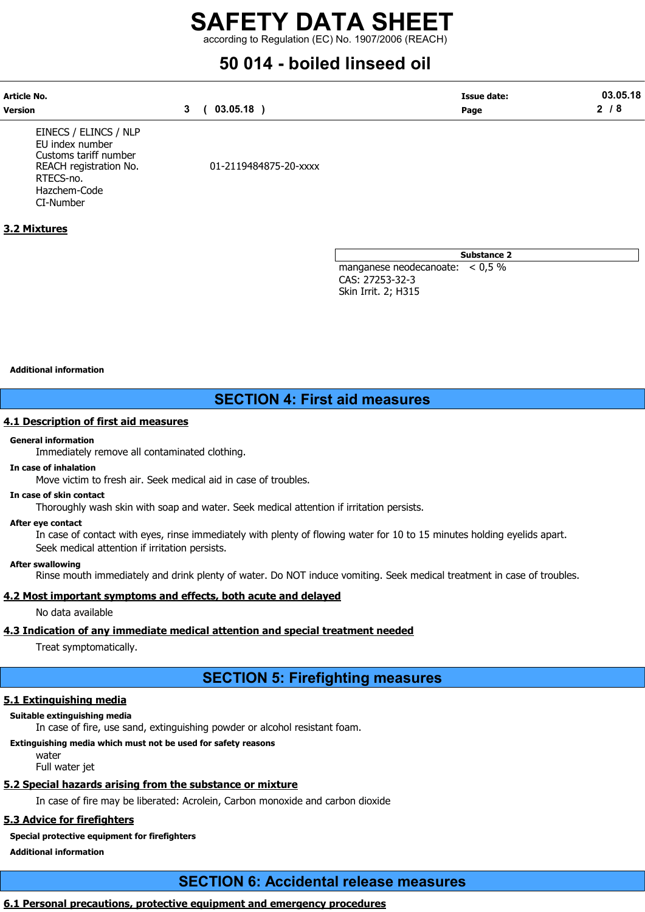according to Regulation (EC) No. 1907/2006 (REACH)

# 50 014 - boiled linseed oil

| Article No.    |          | <b>Issue date:</b> | 03.05.18 |
|----------------|----------|--------------------|----------|
| <b>Version</b> | 03.05.18 | Page               |          |

EINECS / ELINCS / NLP EU index number Customs tariff number RTECS-no. Hazchem-Code CI-Number

REACH registration No. 01-2119484875-20-xxxx

Substance 2

manganese neodecanoate: < 0,5 % CAS: 27253-32-3 Skin Irrit. 2; H315

#### Additional information

3.2 Mixtures

# SECTION 4: First aid measures

#### 4.1 Description of first aid measures

#### General information

Immediately remove all contaminated clothing.

#### In case of inhalation

Move victim to fresh air. Seek medical aid in case of troubles.

#### In case of skin contact

Thoroughly wash skin with soap and water. Seek medical attention if irritation persists.

#### After eye contact

In case of contact with eyes, rinse immediately with plenty of flowing water for 10 to 15 minutes holding eyelids apart. Seek medical attention if irritation persists.

#### After swallowing

Rinse mouth immediately and drink plenty of water. Do NOT induce vomiting. Seek medical treatment in case of troubles.

## 4.2 Most important symptoms and effects, both acute and delayed

No data available

# 4.3 Indication of any immediate medical attention and special treatment needed

Treat symptomatically.

# SECTION 5: Firefighting measures

# 5.1 Extinguishing media

# Suitable extinguishing media

In case of fire, use sand, extinguishing powder or alcohol resistant foam.

# Extinguishing media which must not be used for safety reasons

water

Full water jet

# 5.2 Special hazards arising from the substance or mixture

In case of fire may be liberated: Acrolein, Carbon monoxide and carbon dioxide

# 5.3 Advice for firefighters

# Special protective equipment for firefighters

Additional information

# SECTION 6: Accidental release measures

# 6.1 Personal precautions, protective equipment and emergency procedures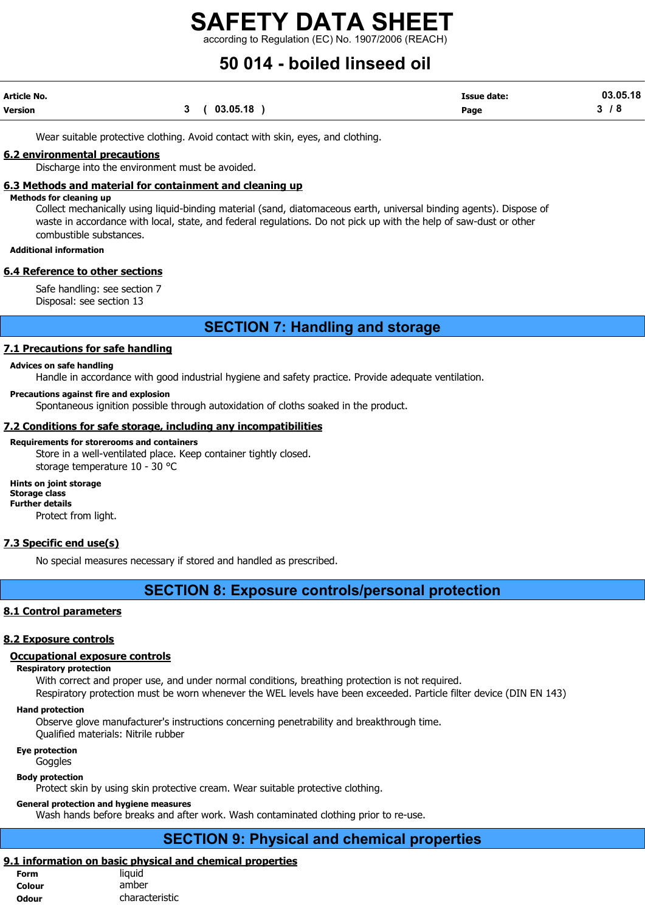according to Regulation (EC) No. 1907/2006 (REACH)

# 50 014 - boiled linseed oil

| Article No.    |             | <b>Issue date:</b> | 03.05.18  |
|----------------|-------------|--------------------|-----------|
| <b>Version</b> | 3(03.05.18) | Page               | <b>78</b> |

Wear suitable protective clothing. Avoid contact with skin, eyes, and clothing.

### 6.2 environmental precautions

Discharge into the environment must be avoided.

# 6.3 Methods and material for containment and cleaning up

#### Methods for cleaning up

Collect mechanically using liquid-binding material (sand, diatomaceous earth, universal binding agents). Dispose of waste in accordance with local, state, and federal regulations. Do not pick up with the help of saw-dust or other combustible substances.

Additional information

### 6.4 Reference to other sections

Safe handling: see section 7 Disposal: see section 13

# SECTION 7: Handling and storage

# 7.1 Precautions for safe handling

#### Advices on safe handling

Handle in accordance with good industrial hygiene and safety practice. Provide adequate ventilation.

#### Precautions against fire and explosion

Spontaneous ignition possible through autoxidation of cloths soaked in the product.

## 7.2 Conditions for safe storage, including any incompatibilities

#### Requirements for storerooms and containers

Store in a well-ventilated place. Keep container tightly closed. storage temperature 10 - 30 °C

Hints on joint storage Storage class Further details Protect from light.

# 7.3 Specific end use(s)

No special measures necessary if stored and handled as prescribed.

# SECTION 8: Exposure controls/personal protection

## 8.1 Control parameters

# 8.2 Exposure controls

# Occupational exposure controls

# Respiratory protection

With correct and proper use, and under normal conditions, breathing protection is not required. Respiratory protection must be worn whenever the WEL levels have been exceeded. Particle filter device (DIN EN 143)

# Hand protection

Observe glove manufacturer's instructions concerning penetrability and breakthrough time. Qualified materials: Nitrile rubber

Eye protection

**Goggles** 

# Body protection

Protect skin by using skin protective cream. Wear suitable protective clothing.

# General protection and hygiene measures

Wash hands before breaks and after work. Wash contaminated clothing prior to re-use.

# SECTION 9: Physical and chemical properties

# 9.1 information on basic physical and chemical properties

| <b>Form</b>  | liquid         |
|--------------|----------------|
| Colour       | amber          |
| <b>Odour</b> | characteristic |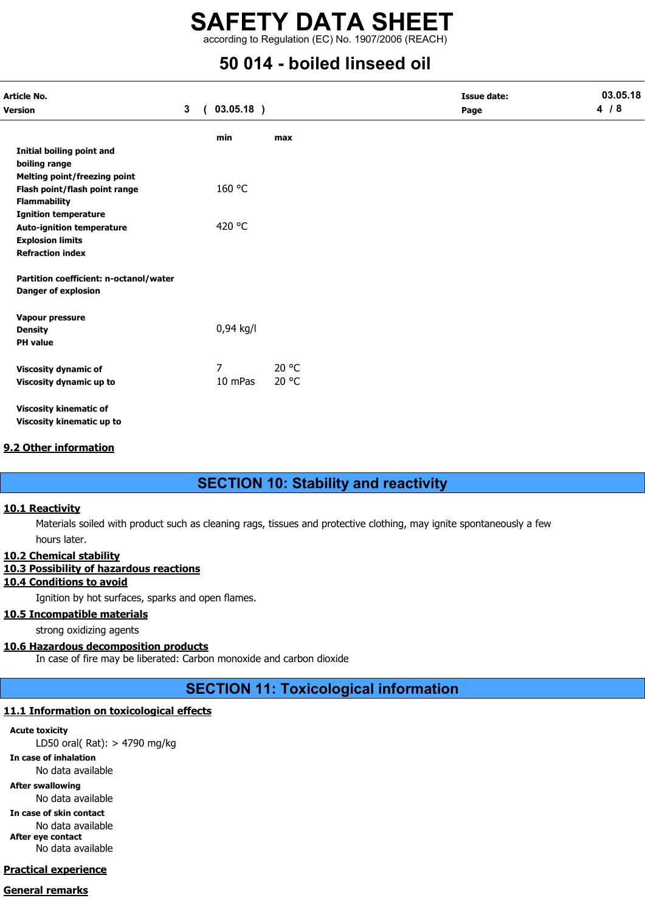according to Regulation (EC) No. 1907/2006 (REACH)

# 50 014 - boiled linseed oil

| <b>Article No.</b>                     |                |            |              |       |      | <b>Issue date:</b> | 03.05.18 |
|----------------------------------------|----------------|------------|--------------|-------|------|--------------------|----------|
| <b>Version</b>                         | 3 <sup>1</sup> | $\sqrt{2}$ | $03.05.18$ ) |       | Page |                    | 4/8      |
|                                        |                |            | min          | max   |      |                    |          |
| Initial boiling point and              |                |            |              |       |      |                    |          |
| boiling range                          |                |            |              |       |      |                    |          |
| Melting point/freezing point           |                |            |              |       |      |                    |          |
| Flash point/flash point range          |                |            | 160 °C       |       |      |                    |          |
| <b>Flammability</b>                    |                |            |              |       |      |                    |          |
| <b>Ignition temperature</b>            |                |            |              |       |      |                    |          |
| <b>Auto-ignition temperature</b>       |                |            | 420 °C       |       |      |                    |          |
| <b>Explosion limits</b>                |                |            |              |       |      |                    |          |
| <b>Refraction index</b>                |                |            |              |       |      |                    |          |
| Partition coefficient: n-octanol/water |                |            |              |       |      |                    |          |
| <b>Danger of explosion</b>             |                |            |              |       |      |                    |          |
| Vapour pressure                        |                |            |              |       |      |                    |          |
| <b>Density</b>                         |                |            | 0,94 kg/l    |       |      |                    |          |
| <b>PH</b> value                        |                |            |              |       |      |                    |          |
| <b>Viscosity dynamic of</b>            |                |            | 7            | 20 °C |      |                    |          |
| Viscosity dynamic up to                |                |            | 10 mPas      | 20 °C |      |                    |          |
|                                        |                |            |              |       |      |                    |          |
| <b>Viscosity kinematic of</b>          |                |            |              |       |      |                    |          |
| Viscosity kinematic up to              |                |            |              |       |      |                    |          |

### 9.2 Other information

# SECTION 10: Stability and reactivity

### 10.1 Reactivity

Materials soiled with product such as cleaning rags, tissues and protective clothing, may ignite spontaneously a few hours later.

### 10.2 Chemical stability

### 10.3 Possibility of hazardous reactions

# 10.4 Conditions to avoid

Ignition by hot surfaces, sparks and open flames.

### 10.5 Incompatible materials

strong oxidizing agents

# 10.6 Hazardous decomposition products

In case of fire may be liberated: Carbon monoxide and carbon dioxide

# SECTION 11: Toxicological information

# 11.1 Information on toxicological effects

# Acute toxicity

LD50 oral( Rat): > 4790 mg/kg

In case of inhalation

No data available

After swallowing

No data available

In case of skin contact No data available After eye contact

No data available

# Practical experience

# General remarks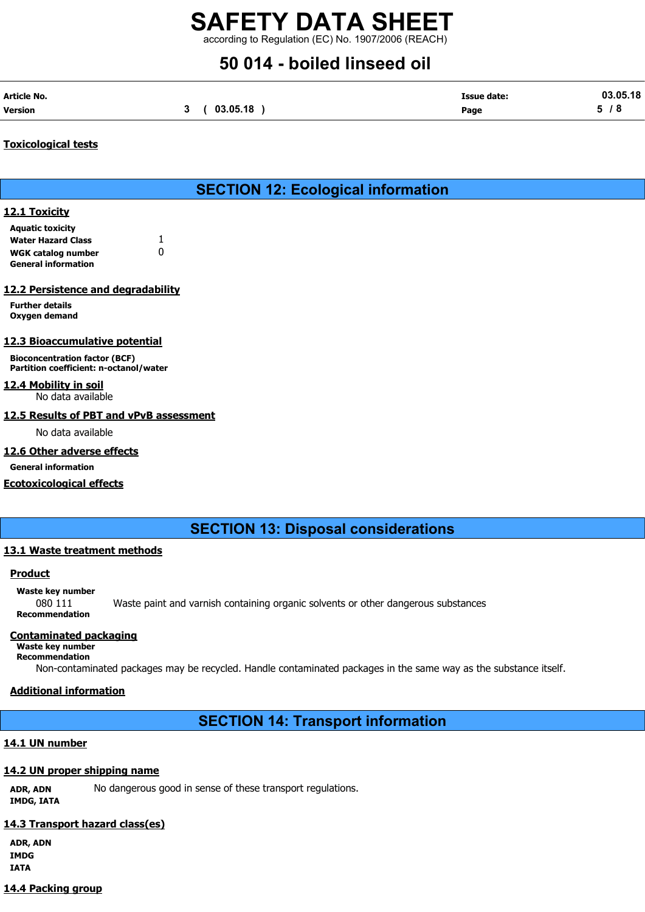according to Regulation (EC) No. 1907/2006 (REACH)

# 50 014 - boiled linseed oil

| Article No.    |          | <b>Issue date:</b> | 03.05.18          |
|----------------|----------|--------------------|-------------------|
| <b>Version</b> | 03.05.18 | Page               | $\mathbf{r}$<br>o |

# Toxicological tests

# SECTION 12: Ecological information

# 12.1 Toxicity

Aquatic toxicity Water Hazard Class 1 WGK catalog number 0 General information

# 12.2 Persistence and degradability

Further details Oxygen demand

# 12.3 Bioaccumulative potential

Bioconcentration factor (BCF) Partition coefficient: n-octanol/water

# 12.4 Mobility in soil

No data available

# 12.5 Results of PBT and vPvB assessment

No data available

# 12.6 Other adverse effects

General information

# Ecotoxicological effects

SECTION 13: Disposal considerations

# 13.1 Waste treatment methods

### **Product**

Waste key number 080 111 Waste paint and varnish containing organic solvents or other dangerous substances Recommendation

# Contaminated packaging

Waste key number Recommendation

Non-contaminated packages may be recycled. Handle contaminated packages in the same way as the substance itself.

# Additional information

# SECTION 14: Transport information

# 14.1 UN number

# 14.2 UN proper shipping name

ADR, ADN No dangerous good in sense of these transport regulations. IMDG, IATA

# 14.3 Transport hazard class(es)

ADR, ADN IMDG IATA

# 14.4 Packing group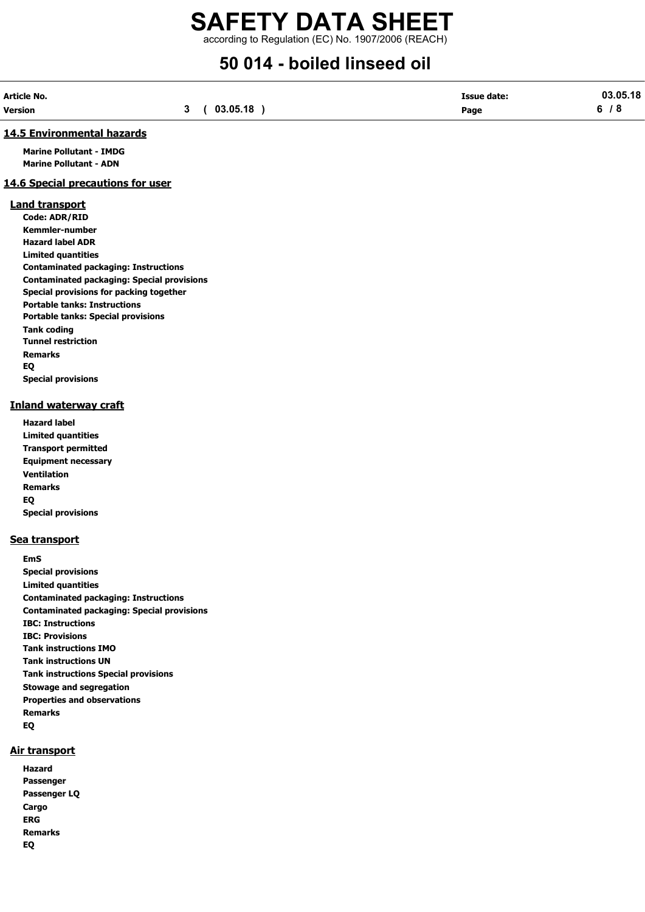# SAFETY DATA SHEET according to Regulation (EC) No. 1907/2006 (REACH)

# 50 014 - boiled linseed oil

| Article No. |          | <b>Issue date:</b> | 03.05.18  |
|-------------|----------|--------------------|-----------|
| Version     | 03.05.18 | Page               | $\bullet$ |

#### 14.5 Environmental hazards

Marine Pollutant - IMDG Marine Pollutant - ADN

# 14.6 Special precautions for user

#### Land transport

Code: ADR/RID Kemmler-number Hazard label ADR Limited quantities Contaminated packaging: Instructions Contaminated packaging: Special provisions Special provisions for packing together Portable tanks: Instructions Portable tanks: Special provisions Tank coding Tunnel restriction Remarks EQ Special provisions

# Inland waterway craft

Hazard label Limited quantities Transport permitted Equipment necessary Ventilation Remarks EQ Special provisions

### Sea transport

EmS Special provisions Limited quantities Contaminated packaging: Instructions Contaminated packaging: Special provisions IBC: Instructions IBC: Provisions Tank instructions IMO Tank instructions UN Tank instructions Special provisions Stowage and segregation Properties and observations Remarks EQ

### Air transport

Hazard Passenger Passenger LQ **Cargo** ERG Remarks EQ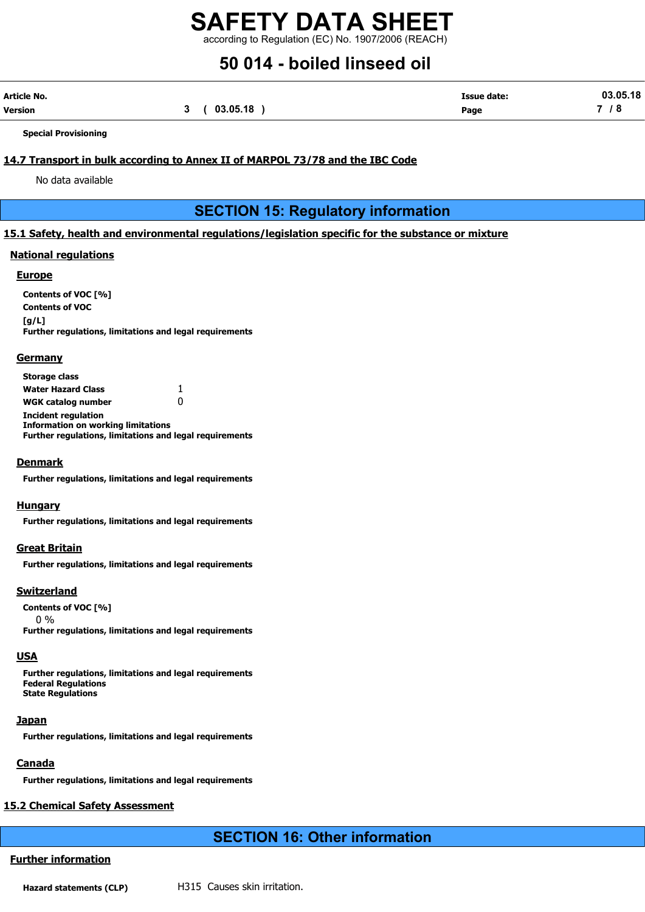according to Regulation (EC) No. 1907/2006 (REACH)

# 50 014 - boiled linseed oil

| Article No. |          | Issue date: | 03.05.18                 |
|-------------|----------|-------------|--------------------------|
| Version     | 03.05.18 | Page        | $\overline{\phantom{0}}$ |

Special Provisioning

# 14.7 Transport in bulk according to Annex II of MARPOL 73/78 and the IBC Code

No data available

SECTION 15: Regulatory information

# 15.1 Safety, health and environmental regulations/legislation specific for the substance or mixture

## National regulations

#### **Europe**

Contents of VOC [%] Contents of VOC  $[a/L]$ Further regulations, limitations and legal requirements

### **Germany**

| <b>Storage class</b>                                           |   |
|----------------------------------------------------------------|---|
| <b>Water Hazard Class</b>                                      | 1 |
| <b>WGK catalog number</b>                                      |   |
| <b>Incident regulation</b>                                     |   |
| <b>Information on working limitations</b>                      |   |
| <b>Further regulations, limitations and legal requirements</b> |   |

### Denmark

Further regulations, limitations and legal requirements

#### **Hungary**

Further regulations, limitations and legal requirements

#### Great Britain

Further regulations, limitations and legal requirements

### **Switzerland**

Contents of VOC [%] 0 %

Further regulations, limitations and legal requirements

# USA

Further regulations, limitations and legal requirements Federal Regulations State Regulations

# Japan

Further regulations, limitations and legal requirements

# **Canada**

Further regulations, limitations and legal requirements

# 15.2 Chemical Safety Assessment

# SECTION 16: Other information

# Further information

Hazard statements (CLP) H315 Causes skin irritation.